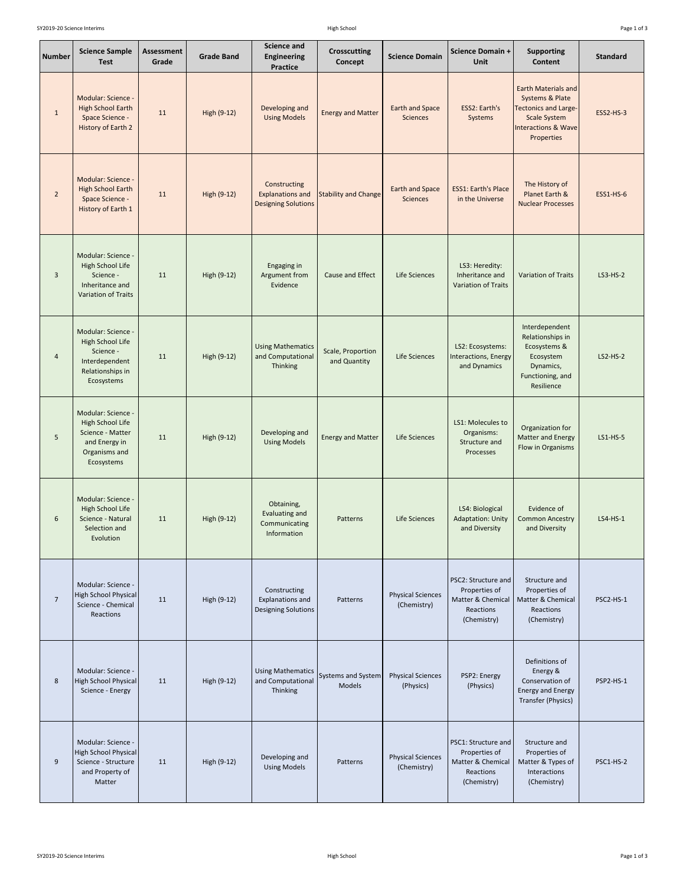| Page 1 of 3 |  |  |  |
|-------------|--|--|--|
|-------------|--|--|--|

| <b>Number</b>  | <b>Science Sample</b><br><b>Test</b>                                                                       | <b>Assessment</b><br>Grade | <b>Grade Band</b> | <b>Science and</b><br><b>Engineering</b><br><b>Practice</b>           | <b>Crosscutting</b><br>Concept      | <b>Science Domain</b>                     | <b>Science Domain +</b><br><b>Unit</b>                                                       | <b>Supporting</b><br><b>Content</b>                                                                                                                 | <b>Standard</b>  |
|----------------|------------------------------------------------------------------------------------------------------------|----------------------------|-------------------|-----------------------------------------------------------------------|-------------------------------------|-------------------------------------------|----------------------------------------------------------------------------------------------|-----------------------------------------------------------------------------------------------------------------------------------------------------|------------------|
| $\mathbf{1}$   | Modular: Science -<br><b>High School Earth</b><br>Space Science -<br>History of Earth 2                    | 11                         | High (9-12)       | Developing and<br><b>Using Models</b>                                 | <b>Energy and Matter</b>            | <b>Earth and Space</b><br><b>Sciences</b> | ESS2: Earth's<br>Systems                                                                     | <b>Earth Materials and</b><br>Systems & Plate<br><b>Tectonics and Large-</b><br><b>Scale System</b><br><b>Interactions &amp; Wave</b><br>Properties | <b>ESS2-HS-3</b> |
| $\overline{2}$ | Modular: Science -<br><b>High School Earth</b><br>Space Science -<br>History of Earth 1                    | 11                         | High (9-12)       | Constructing<br><b>Explanations and</b><br><b>Designing Solutions</b> | <b>Stability and Change</b>         | <b>Earth and Space</b><br><b>Sciences</b> | <b>ESS1: Earth's Place</b><br>in the Universe                                                | The History of<br>Planet Earth &<br><b>Nuclear Processes</b>                                                                                        | <b>ESS1-HS-6</b> |
| 3              | Modular: Science -<br>High School Life<br>Science -<br>Inheritance and<br>Variation of Traits              | 11                         | High (9-12)       | Engaging in<br>Argument from<br>Evidence                              | <b>Cause and Effect</b>             | Life Sciences                             | LS3: Heredity:<br>Inheritance and<br><b>Variation of Traits</b>                              | <b>Variation of Traits</b>                                                                                                                          | $LS3-HS-2$       |
| 4              | Modular: Science -<br>High School Life<br>Science -<br>Interdependent<br>Relationships in<br>Ecosystems    | 11                         | High (9-12)       | <b>Using Mathematics</b><br>and Computational<br>Thinking             | Scale, Proportion<br>and Quantity   | Life Sciences                             | LS2: Ecosystems:<br>Interactions, Energy<br>and Dynamics                                     | Interdependent<br>Relationships in<br>Ecosystems &<br>Ecosystem<br>Dynamics,<br>Functioning, and<br>Resilience                                      | $LS2-HS-2$       |
| 5              | Modular: Science -<br>High School Life<br>Science - Matter<br>and Energy in<br>Organisms and<br>Ecosystems | 11                         | High (9-12)       | Developing and<br><b>Using Models</b>                                 | <b>Energy and Matter</b>            | Life Sciences                             | LS1: Molecules to<br>Organisms:<br>Structure and<br>Processes                                | Organization for<br>Matter and Energy<br>Flow in Organisms                                                                                          | LS1-HS-5         |
| 6              | Modular: Science -<br>High School Life<br>Science - Natural<br>Selection and<br>Evolution                  | 11                         | High (9-12)       | Obtaining,<br>Evaluating and<br>Communicating<br>Information          | Patterns                            | Life Sciences                             | LS4: Biological<br><b>Adaptation: Unity</b><br>and Diversity                                 | Evidence of<br><b>Common Ancestry</b><br>and Diversity                                                                                              | $LS4-HS-1$       |
| $\overline{7}$ | Modular: Science -<br><b>High School Physical</b><br>Science - Chemical<br>Reactions                       | 11                         | High (9-12)       | Constructing<br>Explanations and<br><b>Designing Solutions</b>        | Patterns                            | <b>Physical Sciences</b><br>(Chemistry)   | PSC2: Structure and<br>Properties of<br>Matter & Chemical<br>Reactions<br>(Chemistry)        | Structure and<br>Properties of<br>Matter & Chemical<br>Reactions<br>(Chemistry)                                                                     | PSC2-HS-1        |
| 8              | Modular: Science -<br>High School Physical<br>Science - Energy                                             | 11                         | High (9-12)       | <b>Using Mathematics</b><br>and Computational<br>Thinking             | <b>Systems and System</b><br>Models | <b>Physical Sciences</b><br>(Physics)     | PSP2: Energy<br>(Physics)                                                                    | Definitions of<br>Energy &<br>Conservation of<br><b>Energy and Energy</b><br>Transfer (Physics)                                                     | PSP2-HS-1        |
| 9              | Modular: Science -<br>High School Physical<br>Science - Structure<br>and Property of<br>Matter             | 11                         | High (9-12)       | Developing and<br><b>Using Models</b>                                 | Patterns                            | <b>Physical Sciences</b><br>(Chemistry)   | <b>PSC1: Structure and</b><br>Properties of<br>Matter & Chemical<br>Reactions<br>(Chemistry) | Structure and<br>Properties of<br>Matter & Types of<br>Interactions<br>(Chemistry)                                                                  | PSC1-HS-2        |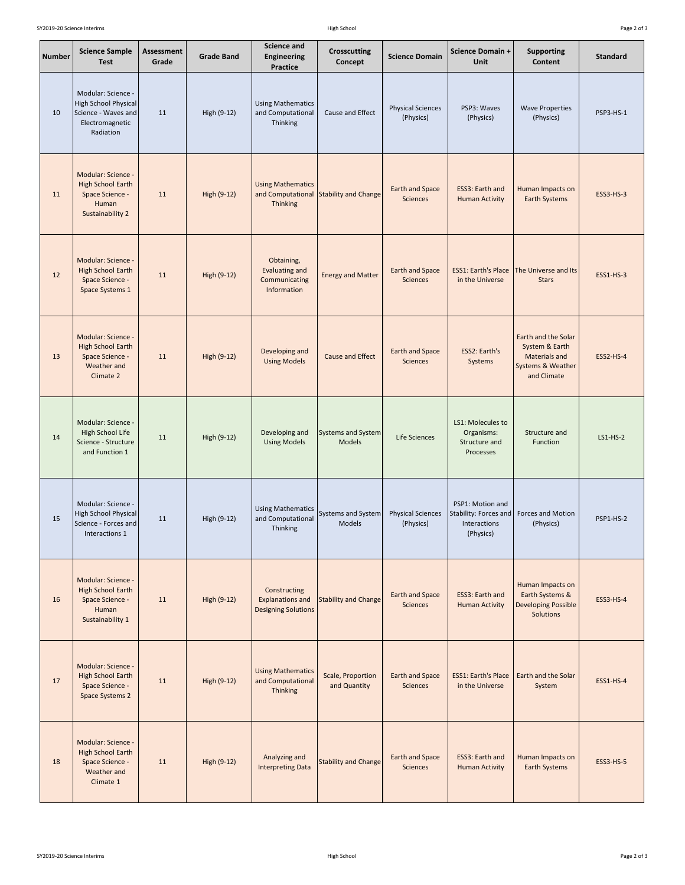| Page 2 of 3 |  |  |  |
|-------------|--|--|--|
|-------------|--|--|--|

| <b>Number</b> | <b>Science Sample</b><br><b>Test</b>                                                              | Assessment<br>Grade | <b>Grade Band</b> | <b>Science and</b><br><b>Engineering</b><br><b>Practice</b>           | <b>Crosscutting</b><br>Concept      | <b>Science Domain</b>                     | <b>Science Domain +</b><br><b>Unit</b>                                 | <b>Supporting</b><br><b>Content</b>                                                               | <b>Standard</b>  |
|---------------|---------------------------------------------------------------------------------------------------|---------------------|-------------------|-----------------------------------------------------------------------|-------------------------------------|-------------------------------------------|------------------------------------------------------------------------|---------------------------------------------------------------------------------------------------|------------------|
| 10            | Modular: Science -<br>High School Physical<br>Science - Waves and<br>Electromagnetic<br>Radiation | 11                  | High (9-12)       | <b>Using Mathematics</b><br>and Computational<br>Thinking             | Cause and Effect                    | <b>Physical Sciences</b><br>(Physics)     | PSP3: Waves<br>(Physics)                                               | <b>Wave Properties</b><br>(Physics)                                                               | PSP3-HS-1        |
| 11            | Modular: Science -<br>High School Earth<br>Space Science -<br>Human<br>Sustainability 2           | 11                  | High (9-12)       | <b>Using Mathematics</b><br>and Computational<br><b>Thinking</b>      | Stability and Change                | <b>Earth and Space</b><br><b>Sciences</b> | ESS3: Earth and<br><b>Human Activity</b>                               | Human Impacts on<br><b>Earth Systems</b>                                                          | <b>ESS3-HS-3</b> |
| 12            | Modular: Science -<br><b>High School Earth</b><br>Space Science -<br>Space Systems 1              | 11                  | High (9-12)       | Obtaining,<br><b>Evaluating and</b><br>Communicating<br>Information   | <b>Energy and Matter</b>            | <b>Earth and Space</b><br><b>Sciences</b> | <b>ESS1: Earth's Place</b><br>in the Universe                          | The Universe and Its<br><b>Stars</b>                                                              | <b>ESS1-HS-3</b> |
| 13            | Modular: Science -<br><b>High School Earth</b><br>Space Science -<br>Weather and<br>Climate 2     | 11                  | High (9-12)       | Developing and<br><b>Using Models</b>                                 | <b>Cause and Effect</b>             | <b>Earth and Space</b><br><b>Sciences</b> | ESS2: Earth's<br>Systems                                               | Earth and the Solar<br>System & Earth<br><b>Materials and</b><br>Systems & Weather<br>and Climate | <b>ESS2-HS-4</b> |
| 14            | Modular: Science -<br>High School Life<br>Science - Structure<br>and Function 1                   | 11                  | High (9-12)       | Developing and<br><b>Using Models</b>                                 | Systems and System<br><b>Models</b> | Life Sciences                             | LS1: Molecules to<br>Organisms:<br>Structure and<br>Processes          | Structure and<br>Function                                                                         | $LS1-HS-2$       |
| 15            | Modular: Science -<br>High School Physical<br>Science - Forces and<br>Interactions 1              | 11                  | High (9-12)       | <b>Using Mathematics</b><br>and Computational<br>Thinking             | <b>Systems and System</b><br>Models | <b>Physical Sciences</b><br>(Physics)     | PSP1: Motion and<br>Stability: Forces and<br>Interactions<br>(Physics) | Forces and Motion<br>(Physics)                                                                    | PSP1-HS-2        |
| 16            | Modular: Science -<br><b>High School Earth</b><br>Space Science -<br>Human<br>Sustainability 1    | 11                  | High (9-12)       | Constructing<br><b>Explanations and</b><br><b>Designing Solutions</b> | <b>Stability and Change</b>         | <b>Earth and Space</b><br><b>Sciences</b> | ESS3: Earth and<br><b>Human Activity</b>                               | Human Impacts on<br>Earth Systems &<br><b>Developing Possible</b><br><b>Solutions</b>             | <b>ESS3-HS-4</b> |
| 17            | Modular: Science -<br><b>High School Earth</b><br>Space Science -<br>Space Systems 2              | 11                  | High (9-12)       | <b>Using Mathematics</b><br>and Computational<br><b>Thinking</b>      | Scale, Proportion<br>and Quantity   | <b>Earth and Space</b><br><b>Sciences</b> | <b>ESS1: Earth's Place</b><br>in the Universe                          | Earth and the Solar<br>System                                                                     | <b>ESS1-HS-4</b> |
| 18            | Modular: Science -<br><b>High School Earth</b><br>Space Science -<br>Weather and<br>Climate 1     | 11                  | High (9-12)       | Analyzing and<br><b>Interpreting Data</b>                             | <b>Stability and Change</b>         | <b>Earth and Space</b><br>Sciences        | ESS3: Earth and<br><b>Human Activity</b>                               | Human Impacts on<br><b>Earth Systems</b>                                                          | <b>ESS3-HS-5</b> |